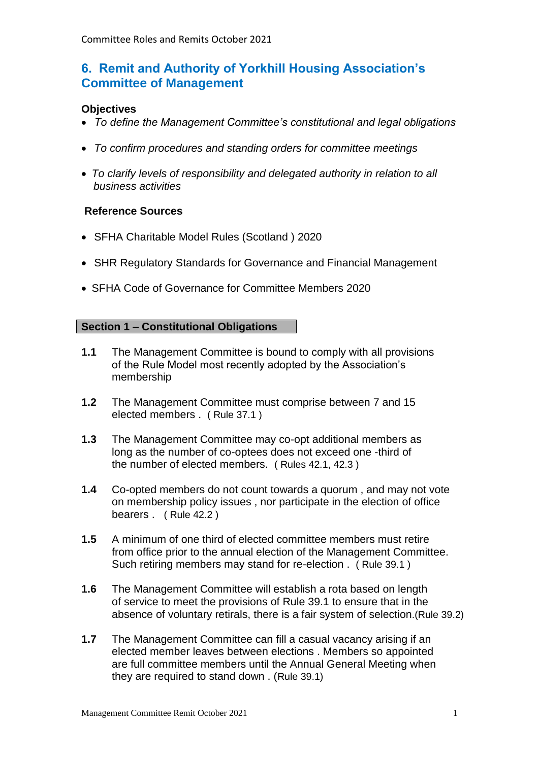# **6. Remit and Authority of Yorkhill Housing Association's Committee of Management**

## **Objectives**

- *To define the Management Committee's constitutional and legal obligations*
- *To confirm procedures and standing orders for committee meetings*
- *To clarify levels of responsibility and delegated authority in relation to all business activities*

### **Reference Sources**

- SFHA Charitable Model Rules (Scotland ) 2020
- SHR Regulatory Standards for Governance and Financial Management
- SFHA Code of Governance for Committee Members 2020

### **Section 1 – Constitutional Obligations**

- **1.1** The Management Committee is bound to comply with all provisions of the Rule Model most recently adopted by the Association's membership
- **1.2** The Management Committee must comprise between 7 and 15 elected members . ( Rule 37.1 )
- **1.3** The Management Committee may co-opt additional members as long as the number of co-optees does not exceed one -third of the number of elected members. ( Rules 42.1, 42.3 )
- **1.4** Co-opted members do not count towards a quorum , and may not vote on membership policy issues , nor participate in the election of office bearers . ( Rule 42.2 )
- **1.5** A minimum of one third of elected committee members must retire from office prior to the annual election of the Management Committee. Such retiring members may stand for re-election . ( Rule 39.1 )
- **1.6** The Management Committee will establish a rota based on length of service to meet the provisions of Rule 39.1 to ensure that in the absence of voluntary retirals, there is a fair system of selection.(Rule 39.2)
- **1.7** The Management Committee can fill a casual vacancy arising if an elected member leaves between elections . Members so appointed are full committee members until the Annual General Meeting when they are required to stand down . (Rule 39.1)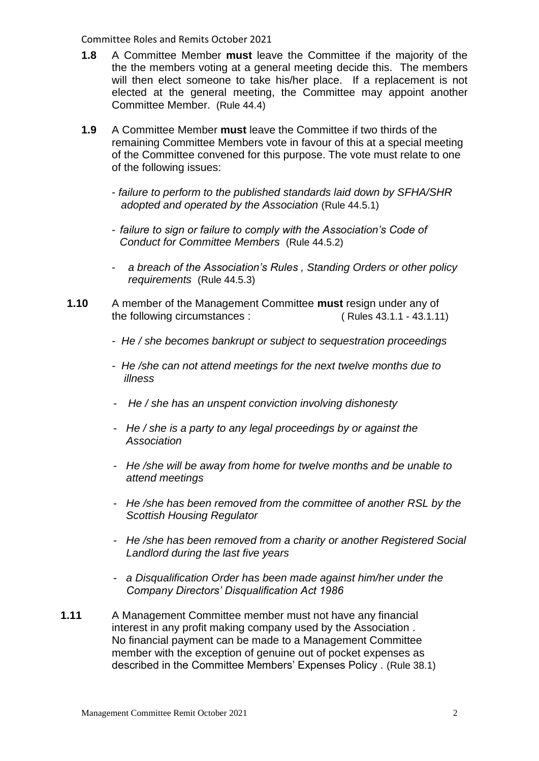- **1.8** A Committee Member **must** leave the Committee if the majority of the the the members voting at a general meeting decide this. The members will then elect someone to take his/her place. If a replacement is not elected at the general meeting, the Committee may appoint another Committee Member. (Rule 44.4)
- **1.9** A Committee Member **must** leave the Committee if two thirds of the remaining Committee Members vote in favour of this at a special meeting of the Committee convened for this purpose. The vote must relate to one of the following issues:
	- *failure to perform to the published standards laid down by SFHA/SHR adopted and operated by the Association* (Rule 44.5.1)
	- *failure to sign or failure to comply with the Association's Code of Conduct for Committee Members* (Rule 44.5.2)
	- *a breach of the Association's Rules , Standing Orders or other policy requirements* (Rule 44.5.3)
- **1.10** A member of the Management Committee **must** resign under any of the following circumstances : ( Rules 43.1.1 - 43.1.11)
	- *He / she becomes bankrupt or subject to sequestration proceedings*
	- *He /she can not attend meetings for the next twelve months due to illness*
	- *He / she has an unspent conviction involving dishonesty*
	- *He / she is a party to any legal proceedings by or against the Association*
	- *He /she will be away from home for twelve months and be unable to attend meetings*
	- *He /she has been removed from the committee of another RSL by the Scottish Housing Regulator*
	- *He /she has been removed from a charity or another Registered Social Landlord during the last five years*
	- *a Disqualification Order has been made against him/her under the Company Directors' Disqualification Act 1986*
- **1.11** A Management Committee member must not have any financial interest in any profit making company used by the Association . No financial payment can be made to a Management Committee member with the exception of genuine out of pocket expenses as described in the Committee Members' Expenses Policy . (Rule 38.1)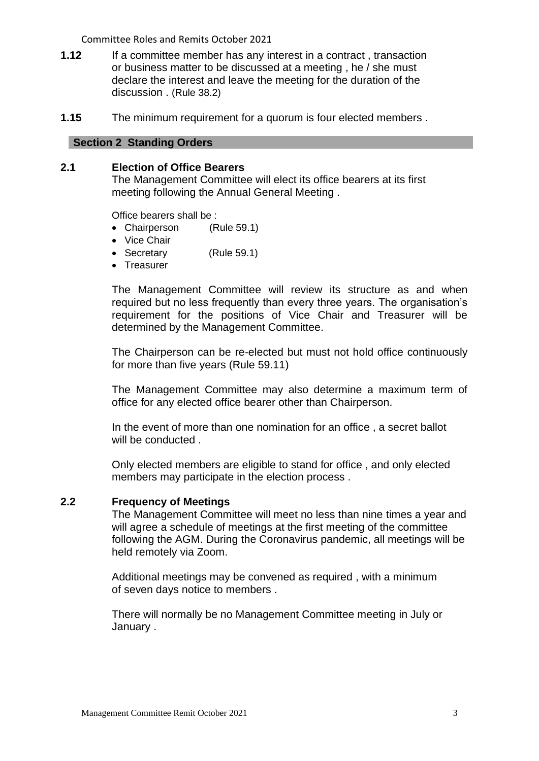- **1.12** If a committee member has any interest in a contract, transaction or business matter to be discussed at a meeting , he / she must declare the interest and leave the meeting for the duration of the discussion . (Rule 38.2)
- **1.15** The minimum requirement for a quorum is four elected members .

#### **Section 2 Standing Orders**

#### **2.1 Election of Office Bearers**

The Management Committee will elect its office bearers at its first meeting following the Annual General Meeting .

Office bearers shall be :

- Chairperson (Rule 59.1)
- Vice Chair
- Secretary (Rule 59.1)
- Treasurer

The Management Committee will review its structure as and when required but no less frequently than every three years. The organisation's requirement for the positions of Vice Chair and Treasurer will be determined by the Management Committee.

The Chairperson can be re-elected but must not hold office continuously for more than five years (Rule 59.11)

The Management Committee may also determine a maximum term of office for any elected office bearer other than Chairperson.

In the event of more than one nomination for an office , a secret ballot will be conducted .

Only elected members are eligible to stand for office , and only elected members may participate in the election process .

#### **2.2 Frequency of Meetings**

The Management Committee will meet no less than nine times a year and will agree a schedule of meetings at the first meeting of the committee following the AGM. During the Coronavirus pandemic, all meetings will be held remotely via Zoom.

Additional meetings may be convened as required , with a minimum of seven days notice to members .

There will normally be no Management Committee meeting in July or January .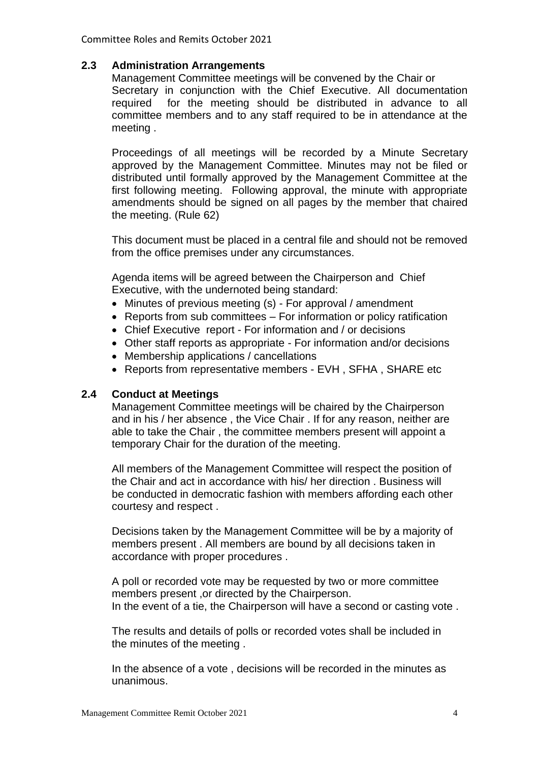## **2.3 Administration Arrangements**

Management Committee meetings will be convened by the Chair or Secretary in conjunction with the Chief Executive. All documentation required for the meeting should be distributed in advance to all committee members and to any staff required to be in attendance at the meeting .

Proceedings of all meetings will be recorded by a Minute Secretary approved by the Management Committee. Minutes may not be filed or distributed until formally approved by the Management Committee at the first following meeting. Following approval, the minute with appropriate amendments should be signed on all pages by the member that chaired the meeting. (Rule 62)

This document must be placed in a central file and should not be removed from the office premises under any circumstances.

Agenda items will be agreed between the Chairperson and Chief Executive, with the undernoted being standard:

- Minutes of previous meeting (s) For approval / amendment
- Reports from sub committees For information or policy ratification
- Chief Executive report For information and / or decisions
- Other staff reports as appropriate For information and/or decisions
- Membership applications / cancellations
- Reports from representative members EVH, SFHA, SHARE etc

### **2.4 Conduct at Meetings**

Management Committee meetings will be chaired by the Chairperson and in his / her absence , the Vice Chair . If for any reason, neither are able to take the Chair , the committee members present will appoint a temporary Chair for the duration of the meeting.

All members of the Management Committee will respect the position of the Chair and act in accordance with his/ her direction . Business will be conducted in democratic fashion with members affording each other courtesy and respect .

Decisions taken by the Management Committee will be by a majority of members present . All members are bound by all decisions taken in accordance with proper procedures .

A poll or recorded vote may be requested by two or more committee members present ,or directed by the Chairperson. In the event of a tie, the Chairperson will have a second or casting vote.

The results and details of polls or recorded votes shall be included in the minutes of the meeting .

In the absence of a vote , decisions will be recorded in the minutes as unanimous.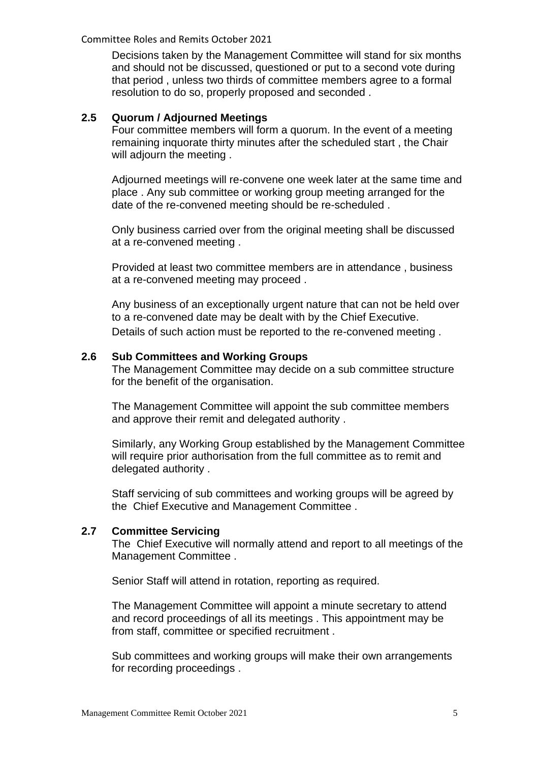Decisions taken by the Management Committee will stand for six months and should not be discussed, questioned or put to a second vote during that period , unless two thirds of committee members agree to a formal resolution to do so, properly proposed and seconded .

### **2.5 Quorum / Adjourned Meetings**

Four committee members will form a quorum. In the event of a meeting remaining inquorate thirty minutes after the scheduled start , the Chair will adjourn the meeting .

Adjourned meetings will re-convene one week later at the same time and place . Any sub committee or working group meeting arranged for the date of the re-convened meeting should be re-scheduled .

Only business carried over from the original meeting shall be discussed at a re-convened meeting .

Provided at least two committee members are in attendance , business at a re-convened meeting may proceed .

Any business of an exceptionally urgent nature that can not be held over to a re-convened date may be dealt with by the Chief Executive. Details of such action must be reported to the re-convened meeting .

#### **2.6 Sub Committees and Working Groups**

The Management Committee may decide on a sub committee structure for the benefit of the organisation.

The Management Committee will appoint the sub committee members and approve their remit and delegated authority .

Similarly, any Working Group established by the Management Committee will require prior authorisation from the full committee as to remit and delegated authority .

Staff servicing of sub committees and working groups will be agreed by the Chief Executive and Management Committee .

#### **2.7 Committee Servicing**

The Chief Executive will normally attend and report to all meetings of the Management Committee .

Senior Staff will attend in rotation, reporting as required.

The Management Committee will appoint a minute secretary to attend and record proceedings of all its meetings . This appointment may be from staff, committee or specified recruitment .

Sub committees and working groups will make their own arrangements for recording proceedings .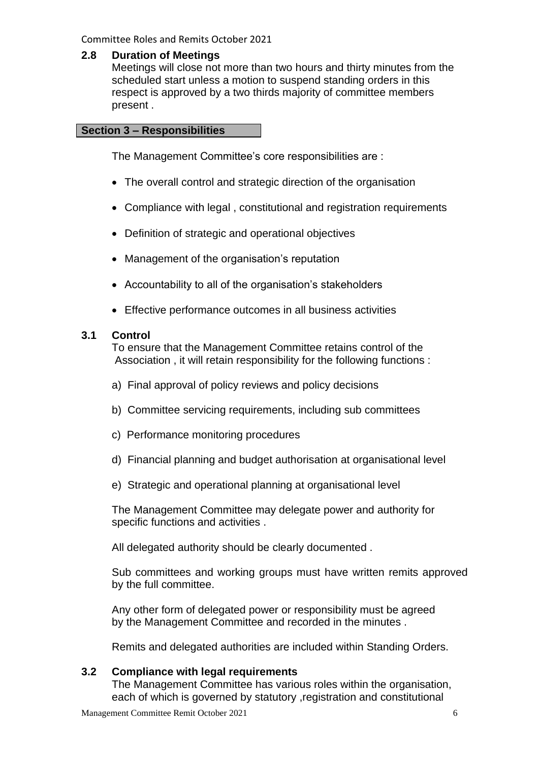### **2.8 Duration of Meetings**

Meetings will close not more than two hours and thirty minutes from the scheduled start unless a motion to suspend standing orders in this respect is approved by a two thirds majority of committee members present .

## **Section 3 – Responsibilities**

The Management Committee's core responsibilities are :

- The overall control and strategic direction of the organisation
- Compliance with legal , constitutional and registration requirements
- Definition of strategic and operational objectives
- Management of the organisation's reputation
- Accountability to all of the organisation's stakeholders
- Effective performance outcomes in all business activities

### **3.1 Control**

To ensure that the Management Committee retains control of the Association , it will retain responsibility for the following functions :

- a) Final approval of policy reviews and policy decisions
- b) Committee servicing requirements, including sub committees
- c) Performance monitoring procedures
- d) Financial planning and budget authorisation at organisational level
- e) Strategic and operational planning at organisational level

The Management Committee may delegate power and authority for specific functions and activities .

All delegated authority should be clearly documented .

Sub committees and working groups must have written remits approved by the full committee.

Any other form of delegated power or responsibility must be agreed by the Management Committee and recorded in the minutes .

Remits and delegated authorities are included within Standing Orders.

## **3.2 Compliance with legal requirements**

The Management Committee has various roles within the organisation, each of which is governed by statutory ,registration and constitutional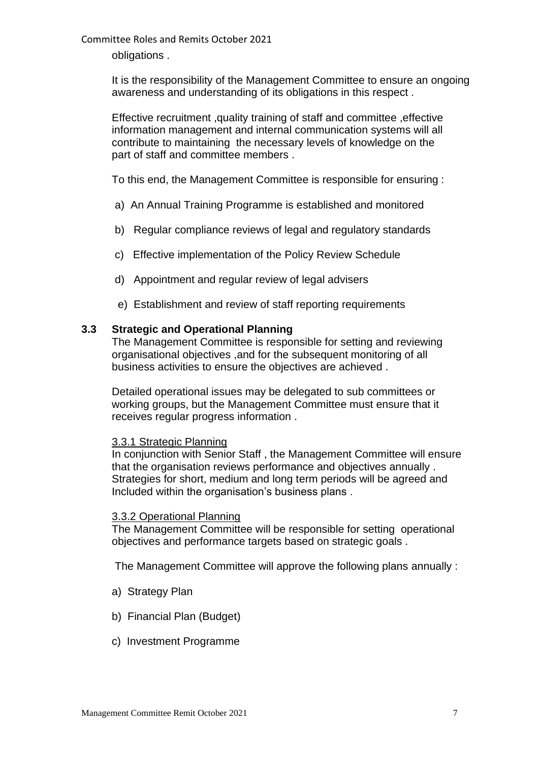obligations .

It is the responsibility of the Management Committee to ensure an ongoing awareness and understanding of its obligations in this respect .

Effective recruitment ,quality training of staff and committee ,effective information management and internal communication systems will all contribute to maintaining the necessary levels of knowledge on the part of staff and committee members .

To this end, the Management Committee is responsible for ensuring :

- a) An Annual Training Programme is established and monitored
- b) Regular compliance reviews of legal and regulatory standards
- c) Effective implementation of the Policy Review Schedule
- d) Appointment and regular review of legal advisers
- e) Establishment and review of staff reporting requirements

#### **3.3 Strategic and Operational Planning**

The Management Committee is responsible for setting and reviewing organisational objectives ,and for the subsequent monitoring of all business activities to ensure the objectives are achieved .

Detailed operational issues may be delegated to sub committees or working groups, but the Management Committee must ensure that it receives regular progress information .

#### 3.3.1 Strategic Planning

In conjunction with Senior Staff , the Management Committee will ensure that the organisation reviews performance and objectives annually . Strategies for short, medium and long term periods will be agreed and Included within the organisation's business plans .

#### 3.3.2 Operational Planning

The Management Committee will be responsible for setting operational objectives and performance targets based on strategic goals .

The Management Committee will approve the following plans annually :

- a) Strategy Plan
- b) Financial Plan (Budget)
- c) Investment Programme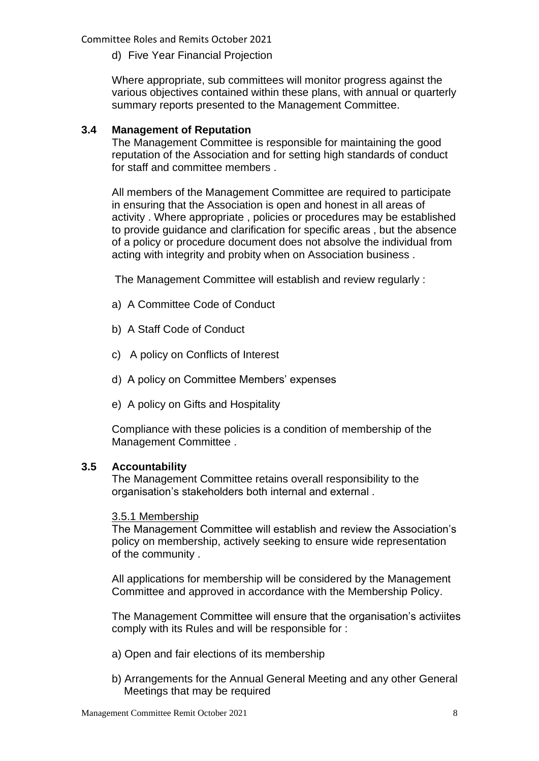d) Five Year Financial Projection

Where appropriate, sub committees will monitor progress against the various objectives contained within these plans, with annual or quarterly summary reports presented to the Management Committee.

## **3.4 Management of Reputation**

The Management Committee is responsible for maintaining the good reputation of the Association and for setting high standards of conduct for staff and committee members .

All members of the Management Committee are required to participate in ensuring that the Association is open and honest in all areas of activity . Where appropriate , policies or procedures may be established to provide guidance and clarification for specific areas , but the absence of a policy or procedure document does not absolve the individual from acting with integrity and probity when on Association business .

The Management Committee will establish and review regularly :

- a) A Committee Code of Conduct
- b) A Staff Code of Conduct
- c) A policy on Conflicts of Interest
- d) A policy on Committee Members' expenses
- e) A policy on Gifts and Hospitality

Compliance with these policies is a condition of membership of the Management Committee .

### **3.5 Accountability**

The Management Committee retains overall responsibility to the organisation's stakeholders both internal and external .

### 3.5.1 Membership

The Management Committee will establish and review the Association's policy on membership, actively seeking to ensure wide representation of the community .

All applications for membership will be considered by the Management Committee and approved in accordance with the Membership Policy.

The Management Committee will ensure that the organisation's activiites comply with its Rules and will be responsible for :

- a) Open and fair elections of its membership
- b) Arrangements for the Annual General Meeting and any other General Meetings that may be required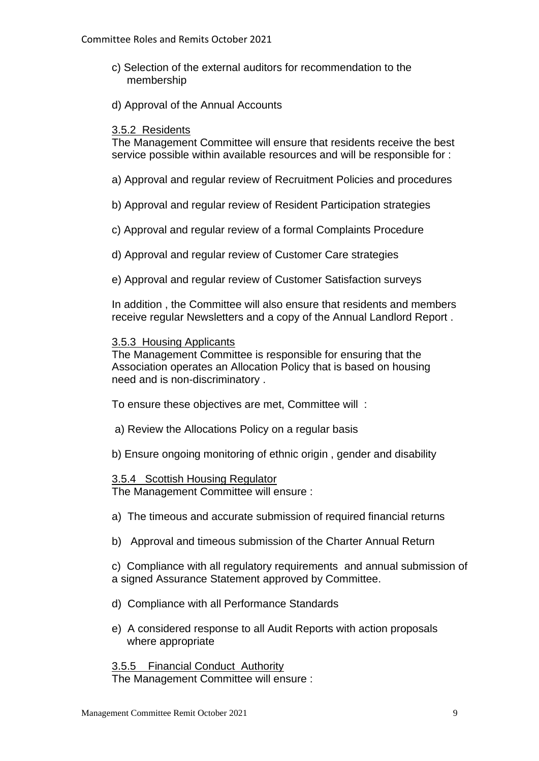- c) Selection of the external auditors for recommendation to the membership
- d) Approval of the Annual Accounts

### 3.5.2 Residents

The Management Committee will ensure that residents receive the best service possible within available resources and will be responsible for :

- a) Approval and regular review of Recruitment Policies and procedures
- b) Approval and regular review of Resident Participation strategies
- c) Approval and regular review of a formal Complaints Procedure
- d) Approval and regular review of Customer Care strategies
- e) Approval and regular review of Customer Satisfaction surveys

In addition , the Committee will also ensure that residents and members receive regular Newsletters and a copy of the Annual Landlord Report .

#### 3.5.3 Housing Applicants

The Management Committee is responsible for ensuring that the Association operates an Allocation Policy that is based on housing need and is non-discriminatory .

To ensure these objectives are met, Committee will :

- a) Review the Allocations Policy on a regular basis
- b) Ensure ongoing monitoring of ethnic origin , gender and disability

#### 3.5.4 Scottish Housing Regulator

The Management Committee will ensure :

- a) The timeous and accurate submission of required financial returns
- b) Approval and timeous submission of the Charter Annual Return

c) Compliance with all regulatory requirements and annual submission of a signed Assurance Statement approved by Committee.

- d) Compliance with all Performance Standards
- e) A considered response to all Audit Reports with action proposals where appropriate

3.5.5 Financial Conduct Authority The Management Committee will ensure :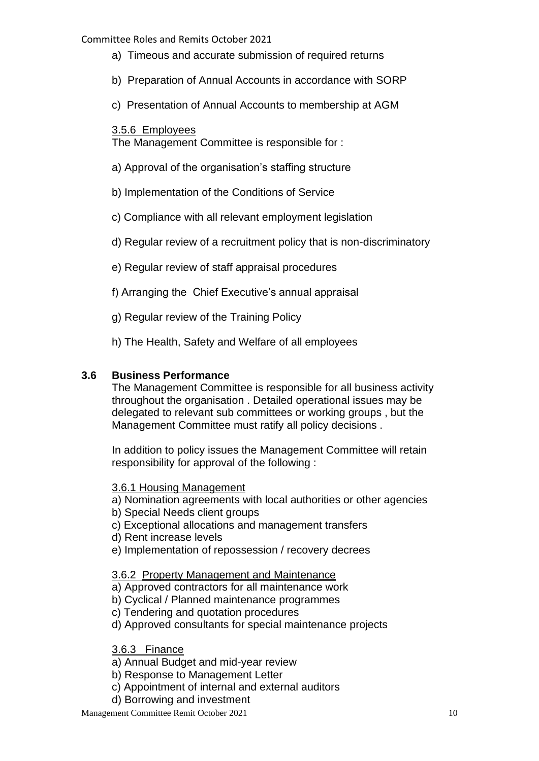- a) Timeous and accurate submission of required returns
- b) Preparation of Annual Accounts in accordance with SORP
- c) Presentation of Annual Accounts to membership at AGM

## 3.5.6 Employees

The Management Committee is responsible for :

- a) Approval of the organisation's staffing structure
- b) Implementation of the Conditions of Service
- c) Compliance with all relevant employment legislation
- d) Regular review of a recruitment policy that is non-discriminatory
- e) Regular review of staff appraisal procedures
- f) Arranging the Chief Executive's annual appraisal
- g) Regular review of the Training Policy
- h) The Health, Safety and Welfare of all employees

## **3.6 Business Performance**

The Management Committee is responsible for all business activity throughout the organisation . Detailed operational issues may be delegated to relevant sub committees or working groups , but the Management Committee must ratify all policy decisions .

In addition to policy issues the Management Committee will retain responsibility for approval of the following :

## 3.6.1 Housing Management

- a) Nomination agreements with local authorities or other agencies
- b) Special Needs client groups
- c) Exceptional allocations and management transfers
- d) Rent increase levels
- e) Implementation of repossession / recovery decrees

## 3.6.2 Property Management and Maintenance

- a) Approved contractors for all maintenance work
- b) Cyclical / Planned maintenance programmes
- c) Tendering and quotation procedures
- d) Approved consultants for special maintenance projects

## 3.6.3 Finance

- a) Annual Budget and mid-year review
- b) Response to Management Letter
- c) Appointment of internal and external auditors
- d) Borrowing and investment